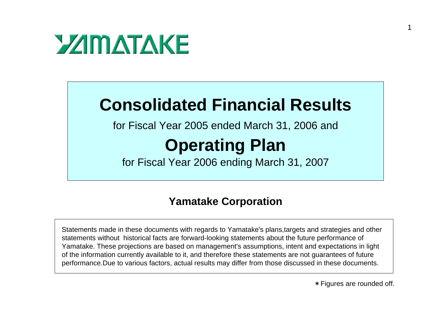

#### **Consolidated Financial Results**

for Fiscal Year 2005 ended March 31, 2006 and

#### **Operating Plan**

for Fiscal Year 2006 ending March 31, 2007

#### **Yamatake Corporation**

Statements made in these documents with regards to Yamatake's plans,targets and strategies and other statements without historical facts are forward-looking statements about the future performance of Yamatake. These projections are based on management's assumptions, intent and expectations in light of the information currently available to it, and therefore these statements are not guarantees of future performance.Due to various factors, actual results may differ from those discussed in these documents.

1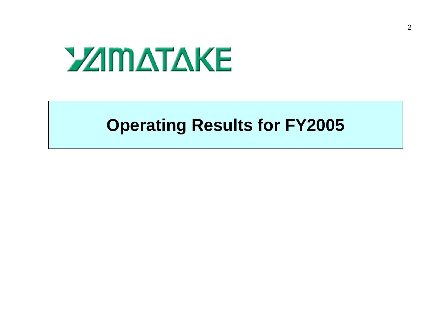# **YZIMATAKE**

#### **Operating Results for FY2005**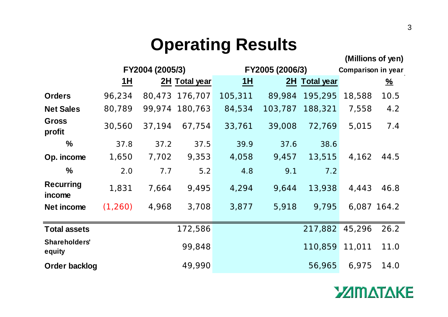## **Operating Results**

|                            |          |                 |                |         |                 |               |             | (Millions of yen)  |  |
|----------------------------|----------|-----------------|----------------|---------|-----------------|---------------|-------------|--------------------|--|
|                            |          | FY2004 (2005/3) |                |         | FY2005 (2006/3) |               |             | Comparison in year |  |
|                            | 1H       |                 | 2H Total year  | 1H      |                 | 2H Total year |             | $\frac{96}{6}$     |  |
| <b>Orders</b>              | 96,234   |                 | 80,473 176,707 | 105,311 | 89,984          | 195,295       | 18,588      | 10.5               |  |
| <b>Net Sales</b>           | 80,789   |                 | 99,974 180,763 | 84,534  | 103,787         | 188,321       | 7,558       | 4.2                |  |
| <b>Gross</b><br>profit     | 30,560   | 37,194          | 67,754         | 33,761  | 39,008          | 72,769        | 5,015       | 7.4                |  |
| $\frac{0}{0}$              | 37.8     | 37.2            | 37.5           | 39.9    | 37.6            | 38.6          |             |                    |  |
| Op. income                 | 1,650    | 7,702           | 9,353          | 4,058   | 9,457           | 13,515        | 4,162       | 44.5               |  |
| $\frac{0}{0}$              | 2.0      | 7.7             | $5.2$          | 4.8     | 9.1             | 7.2           |             |                    |  |
| <b>Recurring</b><br>income | 1,831    | 7,664           | 9,495          | 4,294   | 9,644           | 13,938        | 4,443       | 46.8               |  |
| Net income                 | (1, 260) | 4,968           | 3,708          | 3,877   | 5,918           | 9,795         | 6,087 164.2 |                    |  |
| <b>Total assets</b>        |          |                 | 172,586        |         |                 | 217,882       | 45,296      | 26.2               |  |
| Shareholders'<br>equity    |          |                 | 99,848         |         |                 | 110,859       | 11,011      | 11.0               |  |
| <b>Order backlog</b>       |          |                 | 49,990         |         |                 | 56,965        | 6,975       | 14.0               |  |

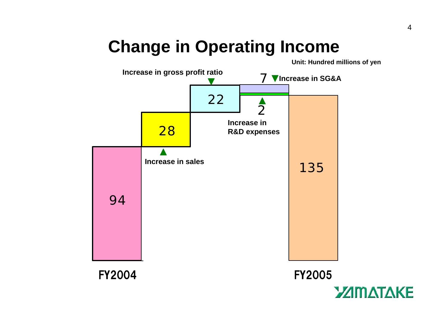# **Change in Operating Income**

**Unit: Hundred millions of yen**





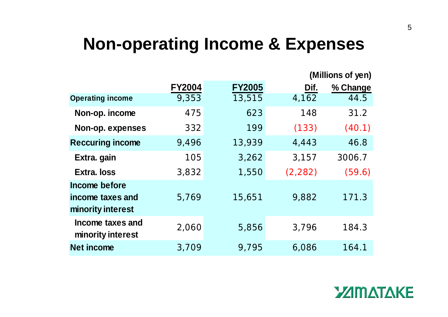#### **Non-operating Income & Expenses**

|                                                        |               |               | (Millions of yen) |          |  |  |
|--------------------------------------------------------|---------------|---------------|-------------------|----------|--|--|
|                                                        | <b>FY2004</b> | <b>FY2005</b> | Dif.              | % Change |  |  |
| <b>Operating income</b>                                | 9,353         | 13,515        | 4,162             | 44.5     |  |  |
| Non-op. income                                         | 475           | 623           | 148               | 31.2     |  |  |
| Non-op. expenses                                       | 332           | 199           | (133)             | (40.1)   |  |  |
| <b>Reccuring income</b>                                | 9,496         | 13,939        | 4,443             | 46.8     |  |  |
| Extra. gain                                            | 105           | 3,262         | 3,157             | 3006.7   |  |  |
| <b>Extra, loss</b>                                     | 3,832         | 1,550         | (2, 282)          | (59.6)   |  |  |
| Income before<br>income taxes and<br>minority interest | 5,769         | 15,651        | 9,882             | 171.3    |  |  |
| Income taxes and<br>minority interest                  | 2,060         | 5,856         | 3,796             | 184.3    |  |  |
| <b>Net income</b>                                      | 3,709         | 9,795         | 6,086             | 164.1    |  |  |

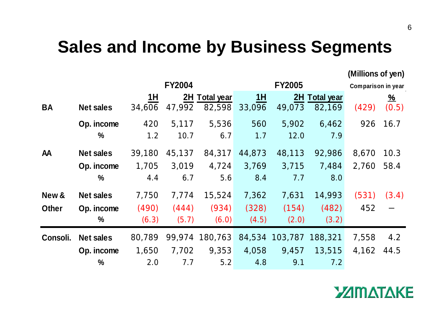#### **Sales and Income by Business Segments**

**(Millions of yen)**

|              |                  |        | <b>FY2004</b> |                |        | <b>FY2005</b>          |               | Comparison in year |                |
|--------------|------------------|--------|---------------|----------------|--------|------------------------|---------------|--------------------|----------------|
|              |                  | 1H     |               | 2H Total year  | 1H     |                        | 2H Total year |                    | $\frac{96}{6}$ |
| <b>BA</b>    | <b>Net sales</b> | 34,606 | 47,992        | 82,598         | 33,096 | 49,073                 | 82,169        | (429)              | (0.5)          |
|              | Op. income       | 420    | 5,117         | 5,536          | 560    | 5,902                  | 6,462         | 926                | 16.7           |
|              | $\frac{0}{0}$    | 1.2    | 10.7          | 6.7            | 1.7    | 12.0                   | 7.9           |                    |                |
| <b>AA</b>    | <b>Net sales</b> | 39,180 | 45,137        | 84,317         | 44,873 | 48,113                 | 92,986        | 8,670              | 10.3           |
|              | Op. income       | 1,705  | 3,019         | 4,724          | 3,769  | 3,715                  | 7,484         | 2,760              | 58.4           |
|              | $\frac{0}{0}$    | 4.4    | 6.7           | 5.6            | 8.4    | 7.7                    | 8.0           |                    |                |
| New &        | <b>Net sales</b> | 7,750  | 7,774         | 15,524         | 7,362  | 7,631                  | 14,993        | (531)              | (3.4)          |
| <b>Other</b> | Op. income       | (490)  | (444)         | (934)          | (328)  | (154)                  | (482)         | 452                |                |
|              | $\frac{0}{0}$    | (6.3)  | (5.7)         | (6.0)          | (4.5)  | (2.0)                  | (3.2)         |                    |                |
| Consoli.     | <b>Net sales</b> | 80,789 |               | 99,974 180,763 |        | 84,534 103,787 188,321 |               | 7,558              | 4.2            |
|              | Op. income       | 1,650  | 7,702         | 9,353          | 4,058  | 9,457                  | 13,515        | 4,162              | 44.5           |
|              | $\frac{0}{0}$    | 2.0    | 7.7           | 5.2            | 4.8    | 9.1                    | 7.2           |                    |                |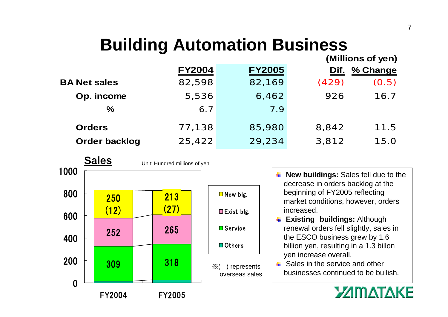# **Building Automation Business**

|                      | (Millions of yen) |               |       |          |  |
|----------------------|-------------------|---------------|-------|----------|--|
|                      | <b>FY2004</b>     | <b>FY2005</b> | Dif.  | % Change |  |
| <b>BA Net sales</b>  | 82,598            | 82,169        | (429) | (0.5)    |  |
| Op. income           | 5,536             | 6,462         | 926   | 16.7     |  |
| $\%$                 | 6.7               | 7.9           |       |          |  |
| <b>Orders</b>        |                   |               |       | 11.5     |  |
|                      | 77,138            | 85,980        | 8,842 |          |  |
| <b>Order backlog</b> | 25,422            | 29,234        | 3,812 | 15.0     |  |



- **4 New buildings:** Sales fell due to the decrease in orders backlog at the beginning of FY2005 reflecting market conditions, however, orders increased.
- **Existing buildings:** Although renewal orders fell slightly, sales in the ESCO business grew by 1.6 billion yen, resulting in a 1.3 billon yen increase overall.
- $\div$  Sales in the service and other businesses continued to be bullish.

#### **YAMATAKE**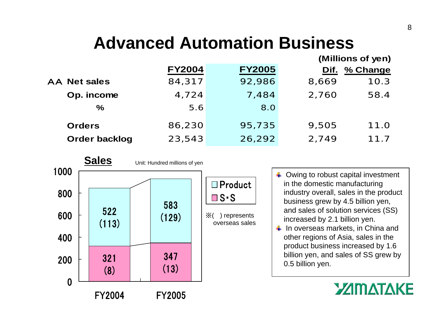# **Advanced Automation Business**

|                      | (Millions of yen) |               |       |          |  |
|----------------------|-------------------|---------------|-------|----------|--|
|                      | <b>FY2004</b>     | <b>FY2005</b> | Dif.  | % Change |  |
| <b>AA Net sales</b>  | 84,317            | 92,986        | 8,669 | 10.3     |  |
| Op. income           | 4,724             | 7,484         | 2,760 | 58.4     |  |
| $\%$                 | 5.6               | 8.0           |       |          |  |
| <b>Orders</b>        | 86,230            | 95,735        | 9,505 | 11.0     |  |
|                      |                   |               |       |          |  |
| <b>Order backlog</b> | 23,543            | 26,292        | 2,749 | 11.7     |  |



- $\downarrow$  Owing to robust capital investment in the domestic manufacturing industry overall, sales in the product business grew by 4.5 billion yen, and sales of solution services (SS) increased by 2.1 billion yen.  $\frac{1}{2}$  In overseas markets, in China and
- other regions of Asia, sales in the product business increased by 1.6 billion yen, and sales of SS grew by 0.5 billion yen.

#### **YAMATAKE**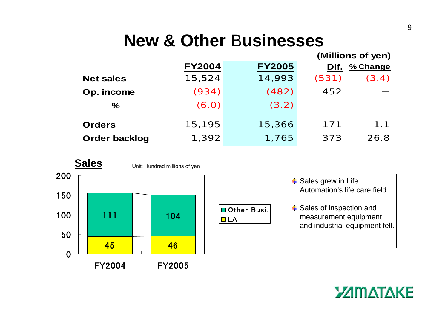#### **New & Other** B**usinesses**

|                      |               |               | (Millions of yen) |          |  |
|----------------------|---------------|---------------|-------------------|----------|--|
|                      | <b>FY2004</b> | <b>FY2005</b> | Dif.              | % Change |  |
| <b>Net sales</b>     | 15,524        | 14,993        | (531)             | (3.4)    |  |
| Op. income           | (934)         | (482)         | 452               |          |  |
| $\%$                 | (6.0)         | (3.2)         |                   |          |  |
| <b>Orders</b>        | 15,195        | 15,366        | 171               | 1.1      |  |
| <b>Order backlog</b> | 1,392         | 1,765         | 373               | 26.8     |  |
|                      |               |               |                   |          |  |





- **↓ Sales grew in Life** Automation's life care field.**↓ Sales of inspection and** 
	- measurement equipment and industrial equipment fell.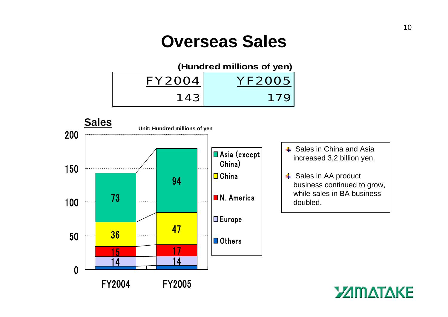#### **Overseas Sales**



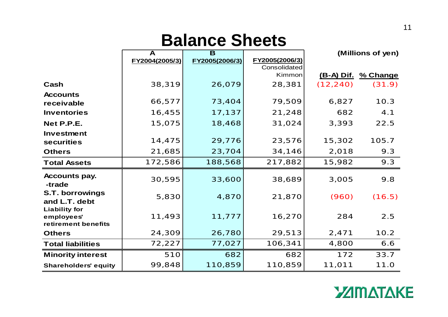# **Balance Sheets**

|                                                           | A              | B              |                |                   | (Millions of yen) |
|-----------------------------------------------------------|----------------|----------------|----------------|-------------------|-------------------|
|                                                           | FY2004(2005/3) | FY2005(2006/3) | FY2005(2006/3) |                   |                   |
|                                                           |                |                | Consolidated   |                   |                   |
|                                                           |                |                | Kimmon         | <u>(B-A) Dif.</u> | % Change          |
| Cash                                                      | 38,319         | 26,079         | 28,381         | (12, 240)         | (31.9)            |
| <b>Accounts</b>                                           |                |                |                |                   |                   |
| receivable                                                | 66,577         | 73,404         | 79,509         | 6,827             | 10.3              |
| <b>Inventories</b>                                        | 16,455         | 17,137         | 21,248         | 682               | 4.1               |
| Net P.P.E.                                                | 15,075         | 18,468         | 31,024         | 3,393             | 22.5              |
| Investment                                                |                |                |                |                   |                   |
| securities                                                | 14,475         | 29,776         | 23,576         | 15,302            | 105.7             |
| <b>Others</b>                                             | 21,685         | 23,704         | 34,146         | 2,018             | 9.3               |
| <b>Total Assets</b>                                       | 172,586        | 188,568        | 217,882        | 15,982            | 9.3               |
| <b>Accounts pay.</b><br>-trade                            | 30,595         | 33,600         | 38,689         | 3,005             | 9.8               |
| <b>S.T. borrowings</b><br>and L.T. debt                   | 5,830          | 4,870          | 21,870         | (960)             | (16.5)            |
| <b>Liability for</b><br>employees'<br>retirement benefits | 11,493         | 11,777         | 16,270         | 284               | 2.5               |
| <b>Others</b>                                             | 24,309         | 26,780         | 29,513         | 2,471             | 10.2              |
| <b>Total liabilities</b>                                  | 72,227         | 77,027         | 106,341        | 4,800             | 6.6               |
| <b>Minority interest</b>                                  | 510            | 682            | 682            | 172               | 33.7              |
| <b>Shareholders' equity</b>                               | 99,848         | 110,859        | 110,859        | 11,011            | 11.0              |

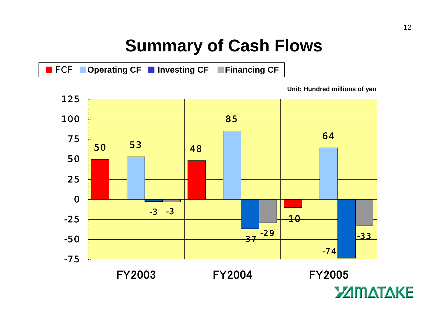### **Summary of Cash Flows**

FCF ■**Operating CF** ■ **Investing CF** ■**Financing CF**

**Unit: Hundred millions of yen**

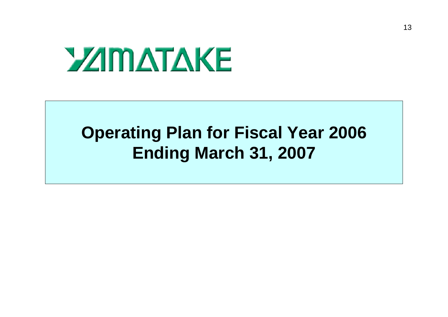# **YZIMATAKE**

#### **Operating Plan for Fiscal Year 2006 Ending March 31, 2007**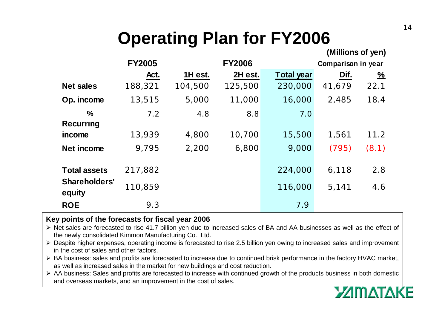# **Operating Plan for FY2006**

|                                   |               |         |               |                           | (Millions of yen) |          |
|-----------------------------------|---------------|---------|---------------|---------------------------|-------------------|----------|
|                                   | <b>FY2005</b> |         | <b>FY2006</b> | <b>Comparison in year</b> |                   |          |
|                                   | Act.          | 1H est. | 2H est.       | <b>Total year</b>         | Dif.              | <u>%</u> |
| <b>Net sales</b>                  | 188,321       | 104,500 | 125,500       | 230,000                   | 41,679            | 22.1     |
| Op. income                        | 13,515        | 5,000   | 11,000        | 16,000                    | 2,485             | 18.4     |
| $\frac{0}{0}$<br><b>Recurring</b> | 7.2           | 4.8     | 8.8           | 7.0                       |                   |          |
| income                            | 13,939        | 4,800   | 10,700        | 15,500                    | 1,561             | 11.2     |
| Net income                        | 9,795         | 2,200   | 6,800         | 9,000                     | (795)             | (8.1)    |
| <b>Total assets</b>               | 217,882       |         |               | 224,000                   | 6,118             | 2.8      |
| <b>Shareholders'</b><br>equity    | 110,859       |         |               | 116,000                   | 5,141             | 4.6      |
| <b>ROE</b>                        | 9.3           |         |               | 7.9                       |                   |          |

#### **Key points of the forecasts for fiscal year 2006**

- ¾ Net sales are forecasted to rise 41.7 billion yen due to increased sales of BA and AA businesses as well as the effect of the newly consolidated Kimmon Manufacturing Co., Ltd.
- ¾ Despite higher expenses, operating income is forecasted to rise 2.5 billion yen owing to increased sales and improvement in the cost of sales and other factors.
- ¾ BA business: sales and profits are forecasted to increase due to continued brisk performance in the factory HVAC market, as well as increased sales in the market for new buildings and cost reduction.
- ¾ AA business: Sales and profits are forecasted to increase with continued growth of the products business in both domestic and overseas markets, and an improvement in the cost of sales.

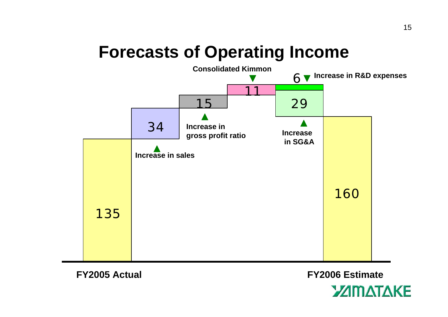## **Forecasts of Operating Income**



**FY2005 Actual FY2006 Estimate**

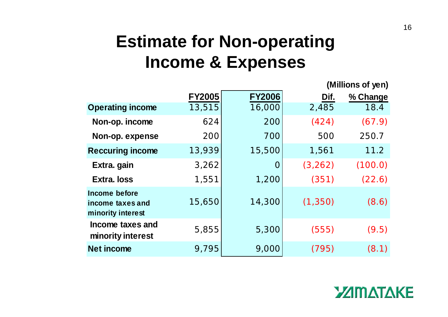## **Estimate for Non-operating Income & Expenses**

|                                                        |               |               |          | וויטן וט טווטוווווון |
|--------------------------------------------------------|---------------|---------------|----------|----------------------|
|                                                        | <b>FY2005</b> | <b>FY2006</b> | Dif.     | % Change             |
| <b>Operating income</b>                                | 13,515        | 16,000        | 2,485    | 18.4                 |
| Non-op. income                                         | 624           | 200           | (424)    | (67.9)               |
| Non-op. expense                                        | 200           | 700           | 500      | 250.7                |
| <b>Reccuring income</b>                                | 13,939        | 15,500        | 1,561    | 11.2                 |
| Extra. gain                                            | 3,262         | $\mathbf 0$   | (3, 262) | (100.0)              |
| <b>Extra. loss</b>                                     | 1,551         | 1,200         | (351)    | (22.6)               |
| Income before<br>income taxes and<br>minority interest | 15,650        | 14,300        | (1, 350) | (8.6)                |
| Income taxes and<br>minority interest                  | 5,855         | 5,300         | (555)    | (9.5)                |
| <b>Net income</b>                                      | 9,795         | 9,000         | (795)    | (8.1)                |

#### **YAMATA KE**

**(Millions of yen)**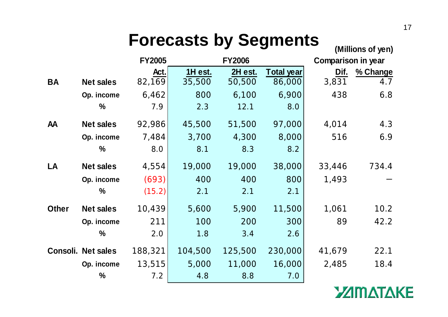# **Forecasts by Segments (Millions of yen)**

|              |                    | <b>FY2005</b> |         | <b>FY2006</b> |            | <b>Comparison in year</b> |          |
|--------------|--------------------|---------------|---------|---------------|------------|---------------------------|----------|
|              |                    | Act.          | 1H est. | 2H est.       | Total year | Dif.                      | % Change |
| <b>BA</b>    | <b>Net sales</b>   | 82,169        | 35,500  | 50,500        | 86,000     | 3,831                     | 4.7      |
|              | Op. income         | 6,462         | 800     | 6,100         | 6,900      | 438                       | 6.8      |
|              | $\frac{0}{0}$      | 7.9           | 2.3     | 12.1          | 8.0        |                           |          |
| <b>AA</b>    | <b>Net sales</b>   | 92,986        | 45,500  | 51,500        | 97,000     | 4,014                     | 4.3      |
|              | Op. income         | 7,484         | 3,700   | 4,300         | 8,000      | 516                       | 6.9      |
|              | $\frac{0}{0}$      | 8.0           | 8.1     | 8.3           | 8.2        |                           |          |
| LA           | <b>Net sales</b>   | 4,554         | 19,000  | 19,000        | 38,000     | 33,446                    | 734.4    |
|              | Op. income         | (693)         | 400     | 400           | 800        | 1,493                     |          |
|              | $\frac{0}{0}$      | (15.2)        | 2.1     | 2.1           | 2.1        |                           |          |
| <b>Other</b> | <b>Net sales</b>   | 10,439        | 5,600   | 5,900         | 11,500     | 1,061                     | 10.2     |
|              | Op. income         | 211           | 100     | 200           | 300        | 89                        | 42.2     |
|              | $\frac{0}{0}$      | 2.0           | 1.8     | 3.4           | 2.6        |                           |          |
|              | Consoli. Net sales | 188,321       | 104,500 | 125,500       | 230,000    | 41,679                    | 22.1     |
|              | Op. income         | 13,515        | 5,000   | 11,000        | 16,000     | 2,485                     | 18.4     |
|              | $\frac{0}{0}$      | 7.2           | 4.8     | 8.8           | 7.0        |                           |          |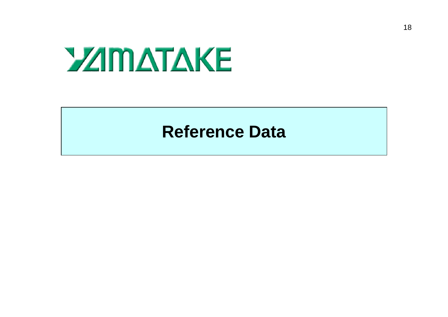# **YZIMATAKE**

#### **Reference Data**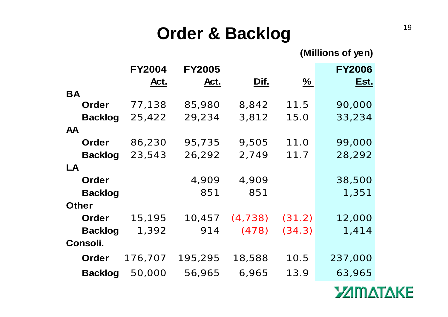#### **Order & Backlog**

**(Millions of yen)**

|                | <b>FY2004</b> | <b>FY2005</b> |          |               | <b>FY2006</b> |
|----------------|---------------|---------------|----------|---------------|---------------|
|                | Act.          | Act.          | Dif.     | $\frac{9}{6}$ | Est.          |
| <b>BA</b>      |               |               |          |               |               |
| Order          | 77,138        | 85,980        | 8,842    | 11.5          | 90,000        |
| <b>Backlog</b> | 25,422        | 29,234        | 3,812    | 15.0          | 33,234        |
| <b>AA</b>      |               |               |          |               |               |
| Order          | 86,230        | 95,735        | 9,505    | 11.0          | 99,000        |
| <b>Backlog</b> | 23,543        | 26,292        | 2,749    | 11.7          | 28,292        |
| <b>LA</b>      |               |               |          |               |               |
| Order          |               | 4,909         | 4,909    |               | 38,500        |
| <b>Backlog</b> |               | 851           | 851      |               | 1,351         |
| <b>Other</b>   |               |               |          |               |               |
| <b>Order</b>   | 15,195        | 10,457        | (4, 738) | (31.2)        | 12,000        |
| <b>Backlog</b> | 1,392         | 914           | (478)    | (34.3)        | 1,414         |
| Consoli.       |               |               |          |               |               |
| <b>Order</b>   | 176,707       | 195,295       | 18,588   | 10.5          | 237,000       |
| <b>Backlog</b> | 50,000        | 56,965        | 6,965    | 13.9          | 63,965        |